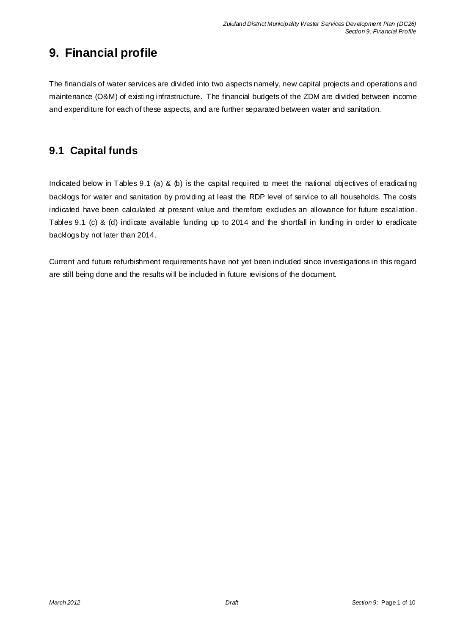# **9. Financial profile**

The financials of water services are divided into two aspects namely, new capital projects and operations and maintenance (O&M) of existing infrastructure. The financial budgets of the ZDM are divided between income and expenditure for each of these aspects, and are further separated between water and sanitation.

# **9.1 Capital funds**

Indicated below in Tables 9.1 (a) & (b) is the capital required to meet the national objectives of eradicating backlogs for water and sanitation by providing at least the RDP level of service to all households. The costs indicated have been calculated at present value and therefore exdudes an allowance for future escalation. Tables 9.1 (c) & (d) indicate available funding up to 2014 and the shortfall in funding in order to eradicate backlogs by not later than 2014.

Current and future refurbishment requirements have not yet been induded since investigations in this regard are still being done and the results will be included in future revisions of the document.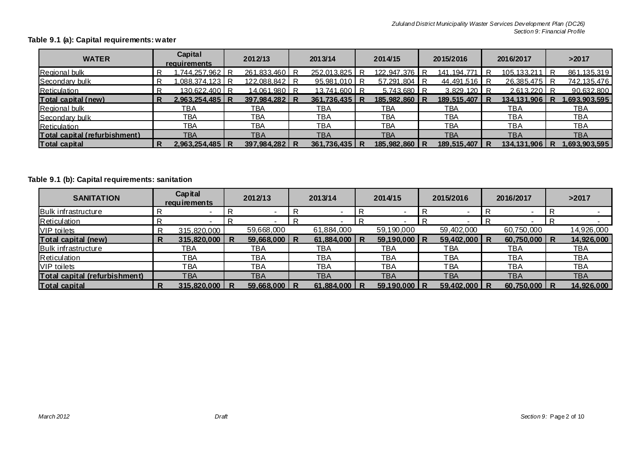### **Table 9.1 (a): Capital requirements: water**

| <b>WATER</b>                  | Capital<br>requirements | 2012/13              | 2013/14       | 2014/15       | 2015/2016    | 2016/2017            | >2017         |
|-------------------------------|-------------------------|----------------------|---------------|---------------|--------------|----------------------|---------------|
| <b>Regional bulk</b>          | .744.257.962            | <u>261,833,460 R</u> | 252.013.825   | 122,947,376   | 141.194.771  | <u>105.133.211 R</u> | 861,135,319   |
| Secondary bulk                | .088.374.123 R          | 122,088,842 R        | 95,981,010    | 57,291,804 R  | 44,491,516 R | 26.385.475 R         | 742,135,476   |
| Reticulation                  | 130.622.400 R           | <u>14.061.980 R</u>  | 13.741.600    | 5.743.680 R   | 3.829.120 R  | $2.613.220$ R        | 90.632.800    |
| Total capital (new)           | $2.963.254.485 \mid R$  | 397.984.282 R        | 361.736.435 R | 185.982.860 R | 189,515,407  | 134.131.906          | 1.693.903.595 |
| Regional bulk                 | тва                     | <b>TBA</b>           | TBA           | TBA           | TBA          | <b>TBA</b>           | TBA           |
| Secondary bulk                | TBA                     | <b>TBA</b>           | TBA           | TBA           | TBA          | <b>TBA</b>           | TBA           |
| Reticulation                  | TBA                     | <b>TBA</b>           | <b>TBA</b>    | ТВА           | TBA          | TBA                  | <b>TBA</b>    |
| Total capital (refurbishment) | TBA                     | <b>TBA</b>           | <b>TBA</b>    | TBA           | <b>TBA</b>   | TBA                  | <b>TBA</b>    |
| <b>Total capital</b>          | $2.963.254.485 \mid R$  | 397,984,282 R        | 361,736,435   | 185,982,860   | 189,515,407  | 134.131.906          | .693.903.595  |

### **Table 9.1 (b): Capital requirements: sanitation**

| <b>SANITATION</b>             | Capital<br>requirements |   | 2012/13          | 2013/14    |   | 2014/15        |   | 2015/2016      | 2016/2017        | >2017      |
|-------------------------------|-------------------------|---|------------------|------------|---|----------------|---|----------------|------------------|------------|
| <b>Bulk infrastructure</b>    |                         |   |                  |            |   |                | R |                |                  |            |
| <b>Reticulation</b>           |                         |   |                  |            |   |                | R |                |                  |            |
| <b>VIP</b> toilets            | 315,820,000             |   | 59,668,000       | 61,884,000 |   | 59,190,000     |   | 59,402,000     | 60,750,000       | 14,926,000 |
| <b>Total capital (new)</b>    | 315,820,000             | R | $59,668,000$   R | 61,884,000 | R | $59,190,000$ R |   | $59,402,000$ R | $60,750,000$   R | 14,926,000 |
| <b>Bulk infrastructure</b>    | <b>TBA</b>              |   | ТВА              | ТВА        |   | TBA            |   | TBA            | TBA              | TBA        |
| Reticulation                  | <b>TBA</b>              |   | ТВА              | ТВА        |   | TBA            |   | TBA            | <b>TBA</b>       | <b>TBA</b> |
| <b>VIP</b> toilets            | <b>TBA</b>              |   | <b>TBA</b>       | <b>TBA</b> |   | <b>TBA</b>     |   | <b>TBA</b>     | <b>TBA</b>       | <b>TBA</b> |
| Total capital (refurbishment) | <b>TBA</b>              |   | TBA              | TBA        |   | TBA            |   | TBA            | <b>TBA</b>       | <b>TBA</b> |
| <b>Total capital</b>          | 315,820,000             | R | $59,668,000$   R | 61,884,000 | R | $59,190,000$ R |   | 59,402,000 R   | $60,750,000$   R | 14,926,000 |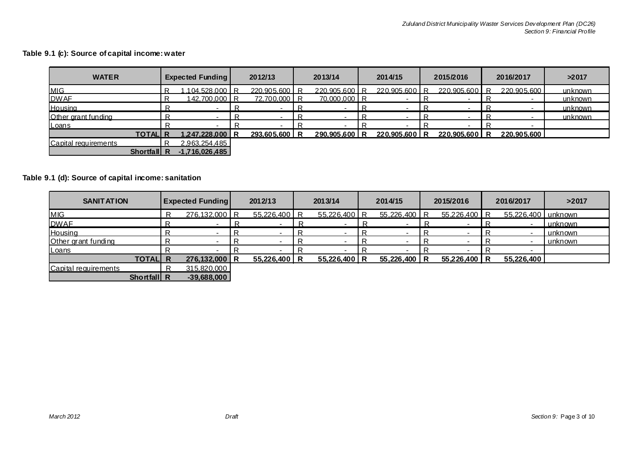### **Table 9.1 (c): Source of capital income: water**

| <b>WATER</b>         | <b>Expected Funding</b> | 2012/13       |  | 2013/14       |  | 2014/15       |   | 2015/2016   |   | 2016/2017   | >2017   |
|----------------------|-------------------------|---------------|--|---------------|--|---------------|---|-------------|---|-------------|---------|
| <b>MIG</b>           | .104.528.000 R          | 220.905.600 R |  | 220.905.600 R |  | 220.905.600 R |   | 220.905.600 | R | 220.905.600 | unknown |
| <b>DWAF</b>          | 142,700,000 R           | 72,700,000 R  |  | 70,000,000 R  |  |               |   |             |   |             | unknown |
| Housing              |                         |               |  |               |  |               | R |             |   |             | unknown |
| Other grant funding  |                         |               |  |               |  |               |   |             |   |             | unknown |
| <b>Loans</b>         |                         |               |  |               |  |               |   |             |   |             |         |
| <b>TOTALIR</b>       | 1.247.228.000 R         | 293,605,600 R |  | 290.905.600 R |  | 220.905.600 R |   | 220.905.600 | R | 220,905,600 |         |
| Capital requirements | 2.963.254.485           |               |  |               |  |               |   |             |   |             |         |
| <b>Shortfall R</b>   | $-1,716,026,485$        |               |  |               |  |               |   |             |   |             |         |

### **Table 9.1 (d): Source of capital income: sanitation**

| <b>SANITATION</b>    | <b>Expected Funding</b> | 2012/13        |  | 2013/14      |  | 2014/15      |  | 2015/2016    |  | 2016/2017            | >2017   |
|----------------------|-------------------------|----------------|--|--------------|--|--------------|--|--------------|--|----------------------|---------|
| <b>MIG</b>           | 276,132,000 R           | $55,226,400$ R |  | 55,226,400 R |  | 55,226,400 R |  | 55,226,400 R |  | 55,226,400   unknown |         |
| <b>DWAF</b>          |                         |                |  |              |  |              |  |              |  | $\sim$               | unknown |
| Housing              |                         |                |  |              |  |              |  |              |  | $\,$                 | unknown |
| Other grant funding  |                         |                |  |              |  |              |  |              |  |                      | unknown |
| <b>Loans</b>         |                         |                |  |              |  |              |  |              |  |                      |         |
| <b>TOTAL R</b>       | 276,132,000 R           | 55,226,400 R   |  | 55,226,400 R |  | 55,226,400 R |  | 55,226,400 R |  | 55,226,400           |         |
| Capital requirements | 315,820,000             |                |  |              |  |              |  |              |  |                      |         |
| Shortfall R          | $-39,688,000$           |                |  |              |  |              |  |              |  |                      |         |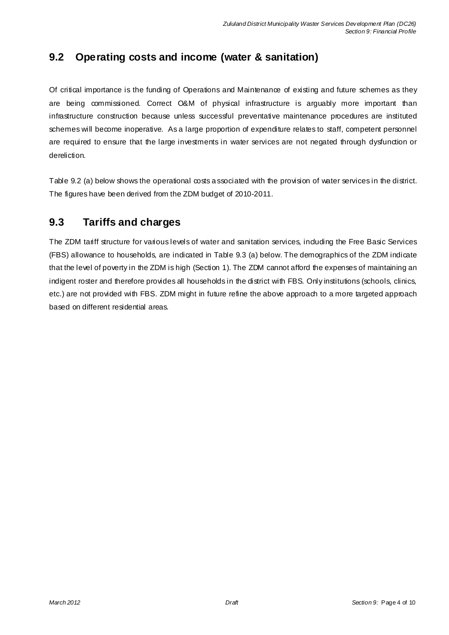## **9.2 Operating costs and income (water & sanitation)**

Of critical importance is the funding of Operations and Maintenance of existing and future schemes as they are being commissioned. Correct O&M of physical infrastructure is arguably more important than infrastructure construction because unless successful preventative maintenance procedures are instituted schemes will become inoperative. As a large proportion of expenditure relates to staff, competent personnel are required to ensure that the large investments in water services are not negated through dysfunction or dereliction.

Table 9.2 (a) below shows the operational costs a ssociated with the provision of water services in the district. The figures have been derived from the ZDM budget of 2010-2011.

### **9.3 Tariffs and charges**

The ZDM tariff structure for various levels of water and sanitation services, induding the Free Basic Services (FBS) allowance to households, are indicated in Table 9.3 (a) below. The demographics of the ZDM indicate that the level of poverty in the ZDM is high (Section 1). The ZDM cannot afford the expenses of maintaining an indigent roster and therefore provides all households in the district with FBS. Only institutions (schools, clinics, etc.) are not provided with FBS. ZDM might in future refine the above approach to a more targeted approach based on different residential areas.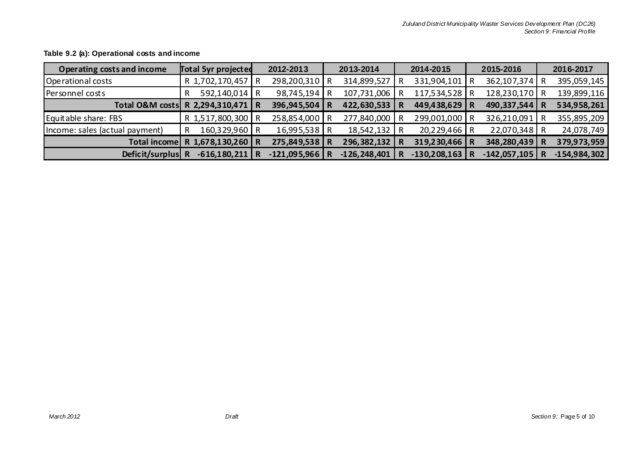| Operating costs and income     | <b>Total 5yr projected</b> | 2012-2013        | 2013-2014        |   | 2014-2015        | 2015-2016      |   | 2016-2017      |
|--------------------------------|----------------------------|------------------|------------------|---|------------------|----------------|---|----------------|
| Operational costs              | R 1,702,170,457            | 298,200,310 R    | 314,899,527      |   | 331,904,101      | 362,107,374    | R | 395,059,145    |
| Personnel costs                | 592,140,014   R            | 98,745,194       | 107,731,006      |   | 117,534,528 R    | 128,230,170    | R | 139,899,116    |
| Total O&M costs                | R 2,294,310,471   R        | 396,945,504 R    | 422,630,533      | R | 449,438,629 R    | 490,337,544    |   | 534,958,261    |
| Equitable share: FBS           | R 1,517,800,300 R          | 258,854,000 R    | 277,840,000      |   | 299,001,000 R    | 326,210,091    |   | 355,895,209    |
| Income: sales (actual payment) | 160,329,960 R              | 16,995,538 R     | 18,542,132 R     |   | 20,229,466 R     | $22,070,348$ R |   | 24,078,749     |
| Total income                   | R 1,678,130,260 R          | 275,849,538 R    | 296, 382, 132    | R | $319,230,466$ R  | 348,280,439    | R | 379,973,959    |
| Deficit/surplus                | $-616,180,211$             | $-121,095,966$ R | $-126, 248, 401$ |   | $-130,208,163$ R | $-142,057,105$ |   | $-154,984,302$ |

### **Table 9.2 (a): Operational costs and income**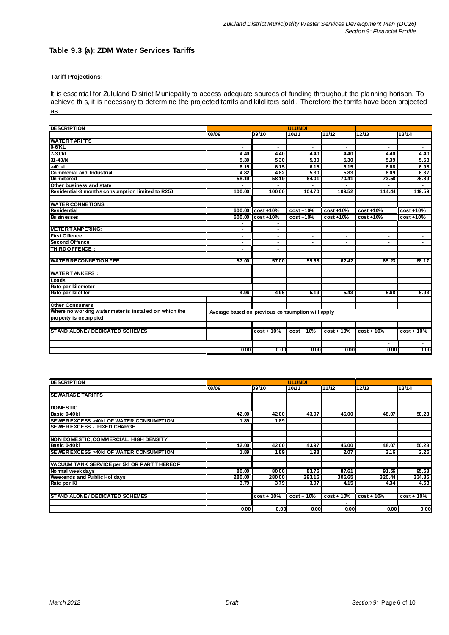#### **Table 9.3 (a): ZDM Water Services Tariffs**

#### **Tariff Projections:**

It is essential for Zululand District Municpality to access adequate sources of funding throughout the planning horison. To achieve this, it is necessary to determine the projected tarrifs and kiloliters sold . Therefore the tarrifs have been projected as

| <b>DESCRIPTION</b>                                     |                                                  |                |                          |                          |                        |              |
|--------------------------------------------------------|--------------------------------------------------|----------------|--------------------------|--------------------------|------------------------|--------------|
|                                                        | 08/09                                            | 09/10          | 10/11                    | 11/12                    | 12/13                  | 13/14        |
| <b>WATER TARIFFS</b>                                   |                                                  |                |                          |                          |                        |              |
| 0-6/KL                                                 |                                                  |                |                          |                          |                        |              |
| $7 - 30/kl$                                            | 4.40                                             | 4.40           | 4.40                     | 4.40                     | 4.40                   | 4.40         |
| $31 - 40$ /kl                                          | 5.30                                             | 5.30           | 5.30                     | 5.30                     | 5.39                   | 5.63         |
| >40 kl                                                 | 6.15                                             | 6.15           | 6.15                     | 6.15                     | 6.68                   | 6.98         |
| Commecial and Industrial                               | 4.82                                             | 4.82           | 5.30                     | 5.83                     | 6.09                   | 6.37         |
| Unmetered                                              | 58.19                                            | 58.19          | 64.01                    | 70.41                    | 73.58                  | 76.89        |
| Other business and state                               |                                                  |                |                          | -                        |                        |              |
| Residential-3 month s consumption limited to R250      | 100.00                                           | 100.00         | 104.70                   | 109.52                   | 114.44                 | 119.59       |
| <b>WATER CONNETIONS:</b>                               |                                                  |                |                          |                          |                        |              |
| Residential                                            | 600.00                                           | $cost + 10%$   | $cost + 10%$             | $cost + 10%$             | $cost + 10%$           | $cost + 10%$ |
|                                                        |                                                  |                |                          |                          |                        |              |
| <b>Businesses</b>                                      | 600.00                                           | cost +10%      | cost +10%                | $cost + 10%$             | $cost + 10%$           | $cost + 10%$ |
| <b>METER TAMPERING:</b>                                | $\blacksquare$                                   | $\blacksquare$ |                          |                          |                        |              |
| <b>First Offence</b>                                   | $\blacksquare$                                   |                | $\overline{\phantom{a}}$ | $\blacksquare$           | $\blacksquare$         |              |
| <b>Second Offence</b>                                  | $\blacksquare$                                   |                |                          | $\overline{\phantom{0}}$ |                        |              |
| THIRD OFFENCE:                                         | $\blacksquare$                                   | $\blacksquare$ |                          |                          |                        |              |
| <b>WATER RECONNETION FEE</b>                           | 57.00                                            | 57.00          | 59.68                    | 62.42                    | 65.23                  | 68.17        |
|                                                        |                                                  |                |                          |                          |                        |              |
| <b>WATER TANKERS:</b>                                  |                                                  |                |                          |                          |                        |              |
| Loads                                                  |                                                  |                |                          |                          |                        |              |
| Rate per kilometer                                     |                                                  |                |                          |                          |                        |              |
| Rate per kiloliter                                     | 4.96                                             | 4.96           | 5.19                     | 5.43                     | 5.68                   | 5.93         |
| <b>Other Consumers</b>                                 |                                                  |                |                          |                          |                        |              |
| Where no working water meter is installed on which the | Average based on previous consumption will apply |                |                          |                          |                        |              |
| property is occuppied                                  |                                                  |                |                          |                          |                        |              |
|                                                        |                                                  |                |                          |                          |                        |              |
| ST AND ALONE / DEDICATED SCHEMES                       |                                                  | $cost + 10%$   | $cost + 10%$             | $cost + 10%$             | $cost + 10%$           | $cost + 10%$ |
|                                                        |                                                  |                |                          |                          |                        |              |
|                                                        | 0.00                                             | 0.00           | 0.00                     | 0.00                     | $\blacksquare$<br>0.00 | 0.00         |
|                                                        |                                                  |                |                          |                          |                        |              |

| <b>DESCRIPTION</b>                          |                   |              | <b>ULUNDI</b> |              |              |               |
|---------------------------------------------|-------------------|--------------|---------------|--------------|--------------|---------------|
|                                             | 08/09             | 09/10        | 10/11         | 11/12        | 12/13        | 13/14         |
| <b>ISEWARAGE TARIFFS</b>                    |                   |              |               |              |              |               |
|                                             |                   |              |               |              |              |               |
| <b>IDOMESTIC</b>                            |                   |              |               |              |              |               |
| Basic 0-40kl                                | 42.00             | 42.00        | 43.97         | 46.00        | 48.07        | 50.23         |
| SEWER EXCESS > 40kl OF WATER CONSUMPTION    | 1.89              | 1.89         |               |              |              |               |
| <b>ISEWER EXCESS - FIXED CHARGE</b>         |                   |              |               |              |              |               |
|                                             |                   |              |               |              |              |               |
| NON DOMESTIC, COMMERCIAL, HIGH DENSITY      |                   |              |               |              |              |               |
| Basic 0-40kl                                | 42.00             | 42.00        | 43.97         | 46.00        | 48.07        | 50.23         |
| SEWER EXCESS > 40kl OF WATER CONSUMPTION    | 1.89              | 1.89         | 1.98          | 2.07         | 2.16         | 2.26          |
| VACUUM TANK SERVICE per 5kl OR PART THEREOF |                   |              |               |              |              |               |
| Normal week davs                            | 80.00             | 80.00        | 83.76         | 87.61        | 91.56        | 95.68         |
| <b>Weekends and Public Holidays</b>         | 280.00            | 280.00       | 293.16        | 306.65       | 320.44       | 334.86        |
| Rate per KI                                 | 3.79              | 3.79         | 3.97          | 4.15         | 4.34         | 4.53          |
| <b>STAND ALONE / DEDICATED SCHEMES</b>      |                   | $cost + 10%$ | $cost + 10%$  | $cost + 10%$ | $cost + 10%$ | $cost + 10\%$ |
|                                             |                   |              |               |              |              |               |
|                                             | 0.00 <sub>1</sub> | 0.00         | 0.00          | 0.00         | 0.00         | 0.00          |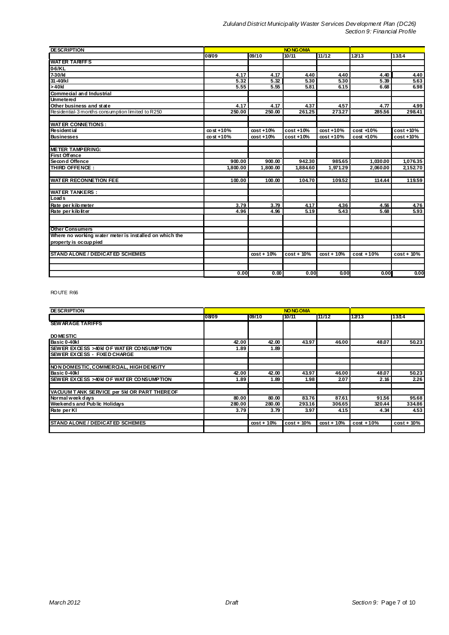| <b>DESCRIPTION</b>                                     |                 |              | <b>NO NG OMA</b> |              |              |              |
|--------------------------------------------------------|-----------------|--------------|------------------|--------------|--------------|--------------|
|                                                        | 08/09           | 09/10        | 10/11            | 11/12        | 12/13        | 13/14        |
| <b>WATER TARIFFS</b>                                   |                 |              |                  |              |              |              |
| 0-6/KL                                                 |                 |              |                  |              |              |              |
| $7-30/k$                                               | 4.17            | 4.17         | 4.40             | 4.40         | 4.40         | 4.40         |
| 31-40/kl                                               | 5.32            | 5.32         | 5.30             | 5.30         | 5.39         | 5.63         |
| >40k                                                   | 5.55            | 5.55         | 5.81             | 6.15         | 6.68         | 6.98         |
| <b>Commecial and Industrial</b>                        |                 |              |                  |              |              |              |
| <b>Unmetered</b>                                       |                 |              |                  |              |              |              |
| Other business and state                               | 4.17            | 4.17         | 4.37             | 4.57         | 4.77         | 4.99         |
| Residential-3 months consumption limited to R250       | 250.00          | 250.00       | 261.25           | 273.27       | 285.56       | 298.41       |
|                                                        |                 |              |                  |              |              |              |
| <b>WATER CONNETIONS:</b>                               |                 |              |                  |              |              |              |
| <b>Residential</b>                                     | $\cos t + 10\%$ | $cost + 10%$ | cost +10%        | $cost + 10%$ | cost +10%    | $cost + 10%$ |
| <b>Businesses</b>                                      | $\cos t + 10\%$ | $cost + 10%$ | cost +10%        | $cost + 10%$ | cost +10%    | cost +10%    |
| <b>METER TAMPERING:</b>                                |                 |              |                  |              |              |              |
| <b>First Offence</b>                                   |                 |              |                  |              |              |              |
| Second Offence                                         | 900.00          | 900.00       | 942.30           | 985.65       | 1,030.00     | 1,076.35     |
| THIRD OFFENCE:                                         | 1,800.00        | 1,800.00     | 1,884.60         | 1,971.29     | 2,060.00     | 2,152.70     |
|                                                        |                 |              |                  |              |              |              |
| <b>WATER RECONNETION FEE</b>                           | 100.00          | 100.00       | 104.70           | 109.52       | 114.44       | 119.59       |
|                                                        |                 |              |                  |              |              |              |
| <b>WATER TANKERS:</b>                                  |                 |              |                  |              |              |              |
| Loads                                                  |                 |              |                  |              |              |              |
| Rate per kilo meter                                    | 3.79            | 3.79         | 4.17             | 4.36         | 4.56         | 4.76         |
| Rate per kilo liter                                    | 4.96            | 4.96         | 5.19             | 5.43         | 5.68         | 5.93         |
|                                                        |                 |              |                  |              |              |              |
| <b>Other Consumers</b>                                 |                 |              |                  |              |              |              |
| Where no working water meter is installed on which the |                 |              |                  |              |              |              |
| property is occup pied                                 |                 |              |                  |              |              |              |
|                                                        |                 |              |                  |              |              |              |
| <b>STAND ALONE / DEDICAT ED SCHEMES</b>                |                 | $cost + 10%$ | $cost + 10%$     | $cost + 10%$ | $cost + 10%$ | $cost + 10%$ |
|                                                        |                 |              |                  |              |              |              |
|                                                        | 0.00            | 0.00         | 0.00             | 0.00         | 0.00         | 0.00         |
|                                                        |                 |              |                  |              |              |              |

#### ROUTE R66

| <b>DESCRIPTION</b>                          |        |              | <b>NO NG OMA</b> |              |              |              |
|---------------------------------------------|--------|--------------|------------------|--------------|--------------|--------------|
|                                             | 08/09  | 09/10        | 10/11            | 11/12        | 12/13        | 13/14        |
| <b>SEW ARAGE TARIFFS</b>                    |        |              |                  |              |              |              |
| <b>DO MESTIC</b>                            |        |              |                  |              |              |              |
| Basic 0-40kl                                | 42.00  | 42.00        | 43.97            | 46.00        | 48.07        | 50.23        |
| SEWER EXCESS > 40 KI OF WATER CONSUMPTION   | 1.89   | 1.89         |                  |              |              |              |
| <b>SEWER EXCESS - FIXED CHARGE</b>          |        |              |                  |              |              |              |
|                                             |        |              |                  |              |              |              |
| NON DOMESTIC, COMMERCIAL, HIGH DENSITY      |        |              |                  |              |              |              |
| Basic 0-40kl                                | 42.00  | 42.00        | 43.97            | 46.00        | 48.07        | 50.23        |
| SEWER EXCESS > 40 KI OF WATER CONSUMPTION   | 1.89   | 1.89         | 1.98             | 2.07         | 2.16         | 2.26         |
| VACUUM TANK SERVICE per 5kl OR PART THEREOF |        |              |                  |              |              |              |
| Normal week days                            | 80.00  | 80.00        | 83.76            | 87.61        | 91.56        | 95.68        |
| Weekends and Public Holidays                | 280.00 | 280.00       | 293.16           | 306.65       | 320.44       | 334.86       |
| Rate per KI                                 | 3.79   | 3.79         | 3.97             | 4.15         | 4.34         | 4.53         |
| <b>STAND ALONE / DEDICATED SCHEMES</b>      |        | $cost + 10%$ | $cost + 10%$     | $cost + 10%$ | $cost + 10%$ | $cost + 10%$ |
|                                             |        |              |                  |              |              |              |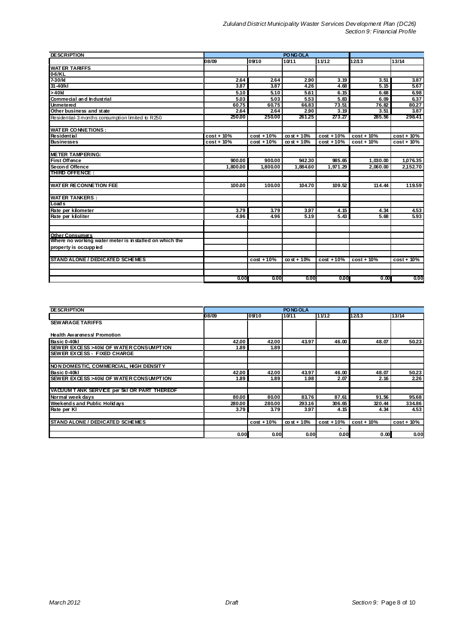| <b>DESCRIPTION</b>                                                                |              |              |                 |              |              |               |  |
|-----------------------------------------------------------------------------------|--------------|--------------|-----------------|--------------|--------------|---------------|--|
|                                                                                   | 08/09        | 09/10        | 10/11           | 11/12        | 12/13        | 13/14         |  |
| <b>WATER TARIFFS</b>                                                              |              |              |                 |              |              |               |  |
| 0-6/KL                                                                            |              |              |                 |              |              |               |  |
| 7-30/kl                                                                           | 2.64         | 2.64         | 2.90            | 3.19         | 3.51         | 3.87          |  |
| 31-40/kl                                                                          | 3.87         | 3.87         | 426             | 4.68         | 5.15         | 5.67          |  |
| >40k                                                                              | 5.10         | 5.10         | 5.61            | 6.15         | 6.68         | 6.98          |  |
| Commecial and Industrial                                                          | 5.03         | 5.03         | 5.53            | 5.83         | 6.09         | 6.37          |  |
| <b>Unmetered</b>                                                                  | 60.75        | 60.75        | 66.83           | 73.51        | 76.82        | 80.27         |  |
| Other business and state                                                          | 2.64         | 2.64         | 2.90            | 3.19         | 3.51         | 3.87          |  |
| Residential-3 months consumption limited to R250                                  | 250.00       | 250.00       | 261.25          | 273.27       | 285.56       | 298.41        |  |
| <b>WATER CONNETIONS:</b>                                                          |              |              |                 |              |              |               |  |
| <b>Residential</b>                                                                | $cost + 10%$ | $cost + 10%$ | $\cos t + 10\%$ | $cost + 10%$ | $cost + 10%$ | $cost + 10%$  |  |
| <b>Businesses</b>                                                                 | cost + 10%   | $cost + 10%$ | $\cos t + 10\%$ | $cost + 10%$ | $cost + 10%$ | $cost + 10\%$ |  |
|                                                                                   |              |              |                 |              |              |               |  |
| <b>METER TAMPERING:</b>                                                           |              |              |                 |              |              |               |  |
| <b>First Offence</b>                                                              | 900.00       | 900.00       | 942.30          | 985.65       | 1,030.00     | 1,076.35      |  |
| Secon d Offence                                                                   | 1,800.00     | 1.800.00     | 1.884.60        | 1,971.29     | 2,060.00     | 2,152.70      |  |
| <b>THIRD OFFENCE:</b>                                                             |              |              |                 |              |              |               |  |
| <b>WATER RECONNETION FEE</b>                                                      | 100.00       | 100.00       | 104.70          | 109.52       | 114.44       | 119.59        |  |
| <b>WATER TANKERS:</b>                                                             |              |              |                 |              |              |               |  |
| Loads                                                                             |              |              |                 |              |              |               |  |
| Rate per kilometer                                                                | 3.79         | 3.79         | 3.97            | 4.15         | 4.34         | 4.53          |  |
| Rate per kiloliter                                                                | 4.96         | 4.96         | 5.19            | 5.43         | 5.68         | 5.93          |  |
|                                                                                   |              |              |                 |              |              |               |  |
| <b>Other Consumers</b><br>Where no working water meter is in stalled on which the |              |              |                 |              |              |               |  |
|                                                                                   |              |              |                 |              |              |               |  |
| property is occuppied                                                             |              |              |                 |              |              |               |  |
| <b>STAND ALONE / DEDICATED SCHEMES</b>                                            |              | $cost + 10%$ | $\cos t + 10%$  | $cost + 10%$ | $cost + 10%$ | $cost + 10\%$ |  |
|                                                                                   |              |              |                 |              |              |               |  |
|                                                                                   | 0.00         | 0.00         | 0.00            | 0.00         | 0.00         | 0.00          |  |

| <b>DESCRIPTION</b>                          |        |              | PO NG OLA       |              |              |              |
|---------------------------------------------|--------|--------------|-----------------|--------------|--------------|--------------|
|                                             | 08/09  | 109/10       | 10/11           | 11/12        | 12/13        | 13/14        |
| <b>SEW ARAGE TARIFFS</b>                    |        |              |                 |              |              |              |
|                                             |        |              |                 |              |              |              |
| <b>Health Awareness/ Promotion</b>          |        |              |                 |              |              |              |
| Basic 0-40kl                                | 42.00  | 42.00        | 43.97           | 46.00        | 48.07        | 50.23        |
| SEWER EXCESS >40H OF WATER CONSUMPTION      | 1.89   | 1.89         |                 |              |              |              |
| <b>SEWER EXCESS - FIXED CHARGE</b>          |        |              |                 |              |              |              |
|                                             |        |              |                 |              |              |              |
| NON DOMESTIC, COMMERCIAL, HIGH DENSITY      |        |              |                 |              |              |              |
| Basic 0-40kl                                | 42.00  | 42.00        | 43.97           | 46.00        | 48.07        | 50.23        |
| SEWER EXCESS >40 k OF WATER CONSUMPTION     | 1.89   | 1.89         | 1.98            | 2.07         | 2.16         | 2.26         |
|                                             |        |              |                 |              |              |              |
| VACUUM TANK SERVICE per 5kl OR PART THEREOF |        |              |                 |              |              |              |
| Normal week davs                            | 80.00  | 80.00        | 83.76           | 87.61        | 91.56        | 95.68        |
| Weekends and Public Holidays                | 280.00 | 280.00       | 293.16          | 306.65       | 320.44       | 334.86       |
| Rate per KI                                 | 3.79   | 3.79         | 3.97            | 4.15         | 4.34         | 4.53         |
|                                             |        |              |                 |              |              |              |
| <b>STAND ALONE / DEDICATED SCHEMES</b>      |        | $cost + 10%$ | $\cos t + 10\%$ | $cost + 10%$ | $cost + 10%$ | $cost + 10%$ |
|                                             |        |              |                 |              |              |              |
|                                             | 0.00   | 0.00         | 0.00            | 0.00         | 0.00         | 0.00         |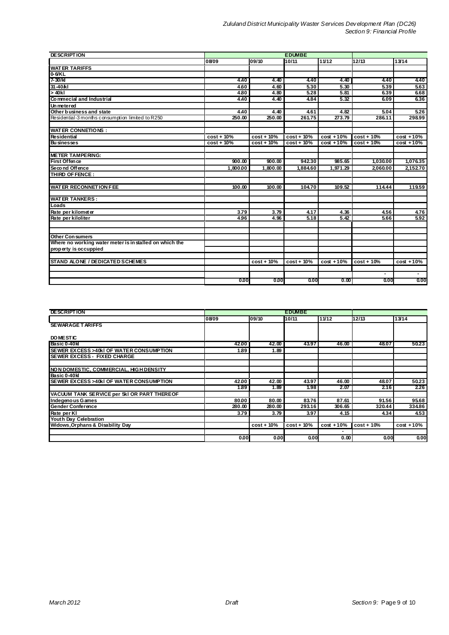| <b>DESCRIPTION</b>                                      |               |              |              |              |                |              |
|---------------------------------------------------------|---------------|--------------|--------------|--------------|----------------|--------------|
|                                                         | 08/09         | 09/10        | 10/11        | 11/12        | 12/13          | 13/14        |
| <b>WATER TARIFFS</b>                                    |               |              |              |              |                |              |
| $0.6K$ L                                                |               |              |              |              |                |              |
| 7-30/k                                                  | 4.40          | 4.40         | 4.40         | 4.40         | 4.40           | 4.40         |
| 31-40/kl                                                | 4.60          | 4.60         | 5.30         | 5.30         | 5.39           | 5.63         |
| $> 40$ kl                                               | 4.80          | 4.80         | 5.28         | 5.81         | 6.39           | 6.68         |
| Commecial and Industrial                                | 4.40          | 4.40         | 4.84         | 5.32         | 6.09           | 6.36         |
| <b>Un metered</b>                                       |               |              |              |              |                |              |
| Other business and state                                | 4.40          | 4.40         | 4.61         | 4.82         | 5.04           | 5.26         |
| Residential-3 months consumption limited to R250        | 250.00        | 250.00       | 261.75       | 273.79       | 286.11         | 298.99       |
| <b>WATER CONNETIONS:</b>                                |               |              |              |              |                |              |
| Residential                                             | $cost + 10%$  | $cost + 10%$ | $cost + 10%$ | $cost + 10%$ | $cost + 10%$   | $cost + 10%$ |
| <b>Businesses</b>                                       | $cost + 10\%$ | $cost + 10%$ | $cost + 10%$ | $cost + 10%$ | $cost + 10%$   | $cost + 10%$ |
|                                                         |               |              |              |              |                |              |
| <b>METER TAMPERING:</b>                                 |               |              |              |              |                |              |
| First Offence                                           | 900.00        | 900.00       | 942.30       | 985.65       | 1,030.00       | 1,076.35     |
| Second Offence                                          | 1.800.00      | 1.800.00     | 1.884.60     | 1.971.29     | 2.060.00       | 2,152.70     |
| THIRD OF FENCE:                                         |               |              |              |              |                |              |
| <b>WATER RECONNETION FEE</b>                            | 100.00        | 100.00       | 104.70       | 109.52       | 114.44         | 119.59       |
| <b>WATER TANKERS:</b>                                   |               |              |              |              |                |              |
| Loads                                                   |               |              |              |              |                |              |
| Rate per kilometer                                      | 3.79          | 3.79         | 4.17         | 4.36         | 4.56           | 4.76         |
| Rate per kiloliter                                      | 4.96          | 4.96         | 5.18         | 5.42         | 5.66           | 5.92         |
|                                                         |               |              |              |              |                |              |
| <b>Other Con sumers</b>                                 |               |              |              |              |                |              |
| Where no working water meter is in stalled on which the |               |              |              |              |                |              |
| property is occuppied                                   |               |              |              |              |                |              |
|                                                         |               |              |              |              |                |              |
| STAND ALONE / DEDICATED SCHEMES                         |               | $cost + 10%$ | $cost + 10%$ | $cost + 10%$ | $cost + 10%$   | $cost + 10%$ |
|                                                         |               |              |              |              | $\blacksquare$ |              |
|                                                         | 0.00          | 0.00         | 0.00         | 0.00         | 0.00           | 0.00         |

| <b>DESCRIPTION</b>                          | <b>EDUMBE</b> |              |              |              |                |              |
|---------------------------------------------|---------------|--------------|--------------|--------------|----------------|--------------|
|                                             | 08/09         | 09/10        | 10/11        | 11/12        | 12/13          | 13/14        |
| <b>SEWARAGE TARIFFS</b>                     |               |              |              |              |                |              |
| <b>DOMESTIC</b>                             |               |              |              |              |                |              |
| Basic 0-40kl                                | 42.00         | 42.00        | 43.97        | 46.00        | 48.07          | 50.23        |
| SEWER EXCESS > 40kl OF WATER CONSUMPTION    | 1.89          | 1.89         |              |              |                |              |
| <b>SEWER EXCESS - FIXED CHARGE</b>          |               |              |              |              |                |              |
|                                             |               |              |              |              |                |              |
| NON DOMESTIC, COMMERCIAL, HIGH DENSITY      |               |              |              |              |                |              |
| Basic 0-40kl                                |               |              |              |              |                |              |
| SEWER EXCESS > 40kl OF WATER CONSUMPTION    | 42.00         | 42.00        | 43.97        | 46.00        | 48.07          | 50.23        |
|                                             | 1.89          | 1.89         | 1.98         | 2.07         | 2.16           | 2.26         |
| VACUUM TANK SERVICE per 5kl OR PART THEREOF |               |              |              |              |                |              |
| Indegenous Games                            | 80.00         | 80.00        | 83.76        | 87.61        | 91.56          | 95.68        |
| <b>Gender Conference</b>                    | 280.00        | 280.00       | 293.16       | 306.65       | 320.44         | 334.86       |
| Rate per KI                                 | 3.79          | 3.79         | 3.97         | 4.15         | 4.34           | 4.53         |
| Youth Day Celebration                       |               |              |              |              |                |              |
| <b>Widows, Orphans &amp; Disability Day</b> |               | $cost + 10%$ | $cost + 10%$ | $cost + 10%$ | $\cos t + 10%$ | $cost + 10%$ |
|                                             |               |              |              |              |                |              |
|                                             | 0.00          | 0.00         | 0.00         | 0.00         | 0.00           | 0.00         |